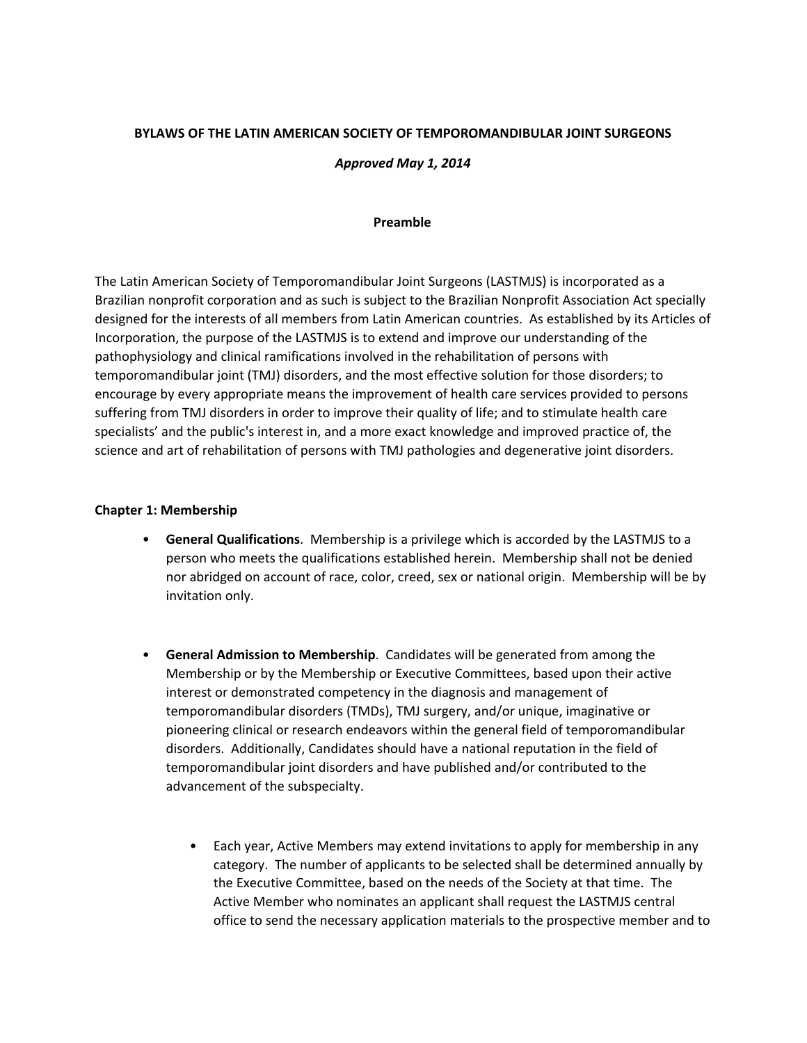### **BYLAWS OF THE LATIN AMERICAN SOCIETY OF TEMPOROMANDIBULAR JOINT SURGEONS**

### *Approved May 1, 2014*

#### **Preamble**

The Latin American Society of Temporomandibular Joint Surgeons (LASTMJS) is incorporated as a Brazilian nonprofit corporation and as such is subject to the Brazilian Nonprofit Association Act specially designed for the interests of all members from Latin American countries. As established by its Articles of Incorporation, the purpose of the LASTMJS is to extend and improve our understanding of the pathophysiology and clinical ramifications involved in the rehabilitation of persons with temporomandibular joint (TMJ) disorders, and the most effective solution for those disorders; to encourage by every appropriate means the improvement of health care services provided to persons suffering from TMJ disorders in order to improve their quality of life; and to stimulate health care specialists' and the public's interest in, and a more exact knowledge and improved practice of, the science and art of rehabilitation of persons with TMJ pathologies and degenerative joint disorders.

#### **Chapter 1: Membership**

- **General Qualifications**. Membership is a privilege which is accorded by the LASTMJS to a person who meets the qualifications established herein. Membership shall not be denied nor abridged on account of race, color, creed, sex or national origin. Membership will be by invitation only.
- **General Admission to Membership**. Candidates will be generated from among the Membership or by the Membership or Executive Committees, based upon their active interest or demonstrated competency in the diagnosis and management of temporomandibular disorders (TMDs), TMJ surgery, and/or unique, imaginative or pioneering clinical or research endeavors within the general field of temporomandibular disorders. Additionally, Candidates should have a national reputation in the field of temporomandibular joint disorders and have published and/or contributed to the advancement of the subspecialty.
	- Each year, Active Members may extend invitations to apply for membership in any category. The number of applicants to be selected shall be determined annually by the Executive Committee, based on the needs of the Society at that time. The Active Member who nominates an applicant shall request the LASTMJS central office to send the necessary application materials to the prospective member and to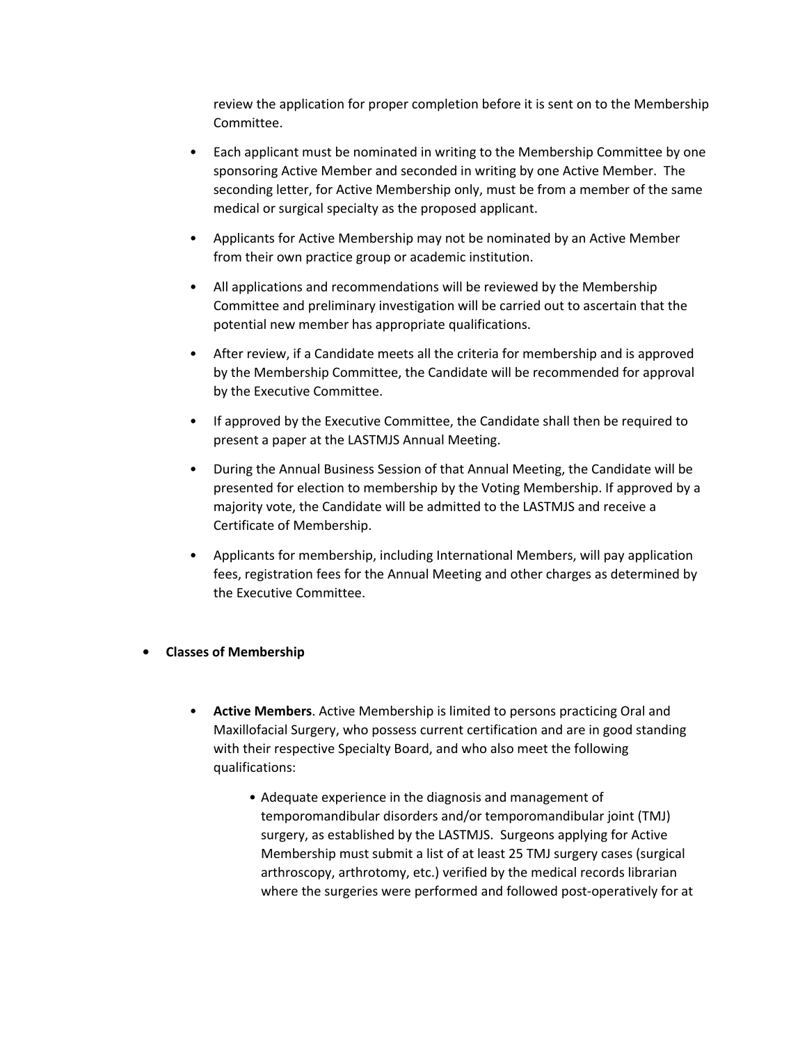review the application for proper completion before it is sent on to the Membership Committee.

- Each applicant must be nominated in writing to the Membership Committee by one sponsoring Active Member and seconded in writing by one Active Member. The seconding letter, for Active Membership only, must be from a member of the same medical or surgical specialty as the proposed applicant.
- Applicants for Active Membership may not be nominated by an Active Member from their own practice group or academic institution.
- All applications and recommendations will be reviewed by the Membership Committee and preliminary investigation will be carried out to ascertain that the potential new member has appropriate qualifications.
- After review, if a Candidate meets all the criteria for membership and is approved by the Membership Committee, the Candidate will be recommended for approval by the Executive Committee.
- If approved by the Executive Committee, the Candidate shall then be required to present a paper at the LASTMJS Annual Meeting.
- During the Annual Business Session of that Annual Meeting, the Candidate will be presented for election to membership by the Voting Membership. If approved by a majority vote, the Candidate will be admitted to the LASTMJS and receive a Certificate of Membership.
- Applicants for membership, including International Members, will pay application fees, registration fees for the Annual Meeting and other charges as determined by the Executive Committee.

## **• Classes of Membership**

- **Active Members**. Active Membership is limited to persons practicing Oral and Maxillofacial Surgery, who possess current certification and are in good standing with their respective Specialty Board, and who also meet the following qualifications:
	- Adequate experience in the diagnosis and management of temporomandibular disorders and/or temporomandibular joint (TMJ) surgery, as established by the LASTMJS. Surgeons applying for Active Membership must submit a list of at least 25 TMJ surgery cases (surgical arthroscopy, arthrotomy, etc.) verified by the medical records librarian where the surgeries were performed and followed post-operatively for at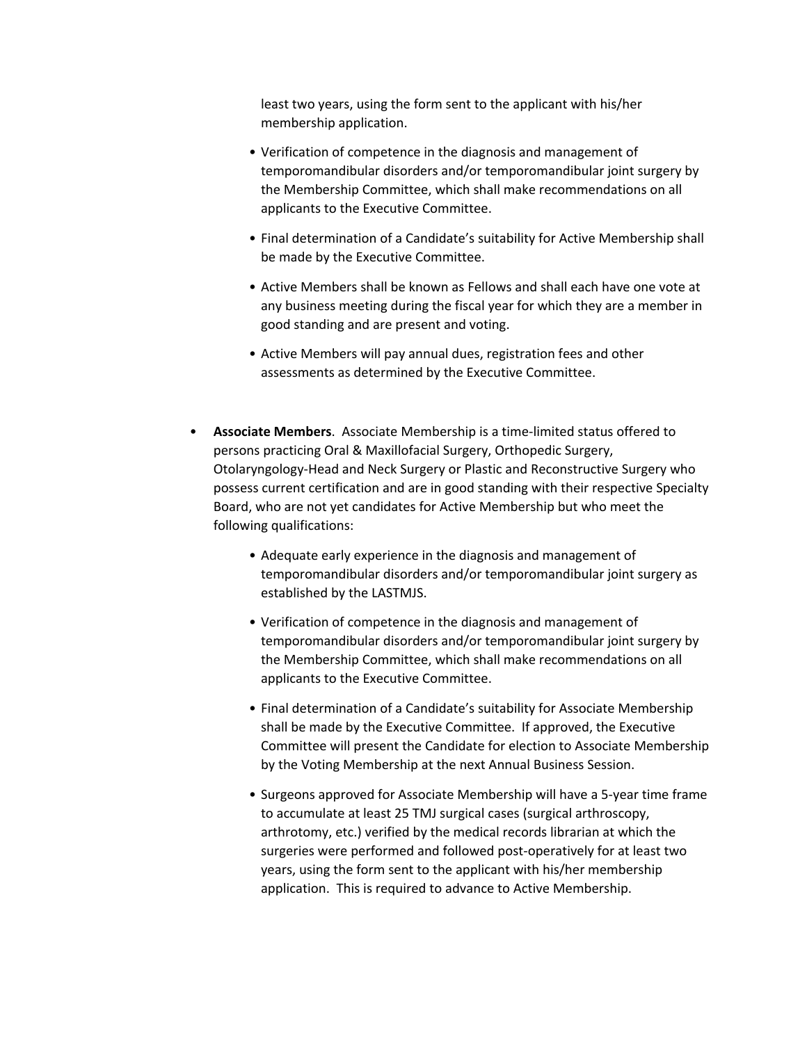least two years, using the form sent to the applicant with his/her membership application.

- Verification of competence in the diagnosis and management of temporomandibular disorders and/or temporomandibular joint surgery by the Membership Committee, which shall make recommendations on all applicants to the Executive Committee.
- Final determination of a Candidate's suitability for Active Membership shall be made by the Executive Committee.
- Active Members shall be known as Fellows and shall each have one vote at any business meeting during the fiscal year for which they are a member in good standing and are present and voting.
- Active Members will pay annual dues, registration fees and other assessments as determined by the Executive Committee.
- **Associate Members**. Associate Membership is a time-limited status offered to persons practicing Oral & Maxillofacial Surgery, Orthopedic Surgery, Otolaryngology-Head and Neck Surgery or Plastic and Reconstructive Surgery who possess current certification and are in good standing with their respective Specialty Board, who are not yet candidates for Active Membership but who meet the following qualifications:
	- Adequate early experience in the diagnosis and management of temporomandibular disorders and/or temporomandibular joint surgery as established by the LASTMJS.
	- Verification of competence in the diagnosis and management of temporomandibular disorders and/or temporomandibular joint surgery by the Membership Committee, which shall make recommendations on all applicants to the Executive Committee.
	- Final determination of a Candidate's suitability for Associate Membership shall be made by the Executive Committee. If approved, the Executive Committee will present the Candidate for election to Associate Membership by the Voting Membership at the next Annual Business Session.
	- Surgeons approved for Associate Membership will have a 5-year time frame to accumulate at least 25 TMJ surgical cases (surgical arthroscopy, arthrotomy, etc.) verified by the medical records librarian at which the surgeries were performed and followed post-operatively for at least two years, using the form sent to the applicant with his/her membership application. This is required to advance to Active Membership.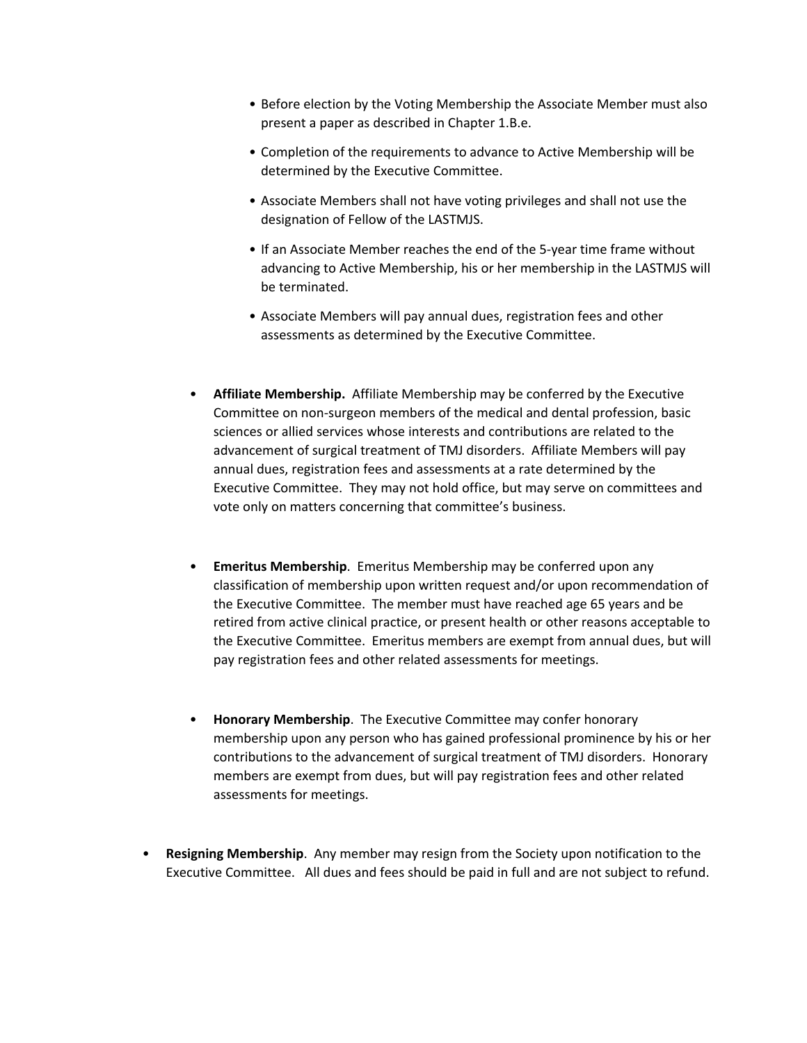- Before election by the Voting Membership the Associate Member must also present a paper as described in Chapter 1.B.e.
- Completion of the requirements to advance to Active Membership will be determined by the Executive Committee.
- Associate Members shall not have voting privileges and shall not use the designation of Fellow of the LASTMJS.
- If an Associate Member reaches the end of the 5-year time frame without advancing to Active Membership, his or her membership in the LASTMJS will be terminated.
- Associate Members will pay annual dues, registration fees and other assessments as determined by the Executive Committee.
- **Affiliate Membership.** Affiliate Membership may be conferred by the Executive Committee on non-surgeon members of the medical and dental profession, basic sciences or allied services whose interests and contributions are related to the advancement of surgical treatment of TMJ disorders. Affiliate Members will pay annual dues, registration fees and assessments at a rate determined by the Executive Committee. They may not hold office, but may serve on committees and vote only on matters concerning that committee's business.
- **Emeritus Membership**. Emeritus Membership may be conferred upon any classification of membership upon written request and/or upon recommendation of the Executive Committee. The member must have reached age 65 years and be retired from active clinical practice, or present health or other reasons acceptable to the Executive Committee. Emeritus members are exempt from annual dues, but will pay registration fees and other related assessments for meetings.
- **Honorary Membership**. The Executive Committee may confer honorary membership upon any person who has gained professional prominence by his or her contributions to the advancement of surgical treatment of TMJ disorders. Honorary members are exempt from dues, but will pay registration fees and other related assessments for meetings.
- **Resigning Membership**. Any member may resign from the Society upon notification to the Executive Committee. All dues and fees should be paid in full and are not subject to refund.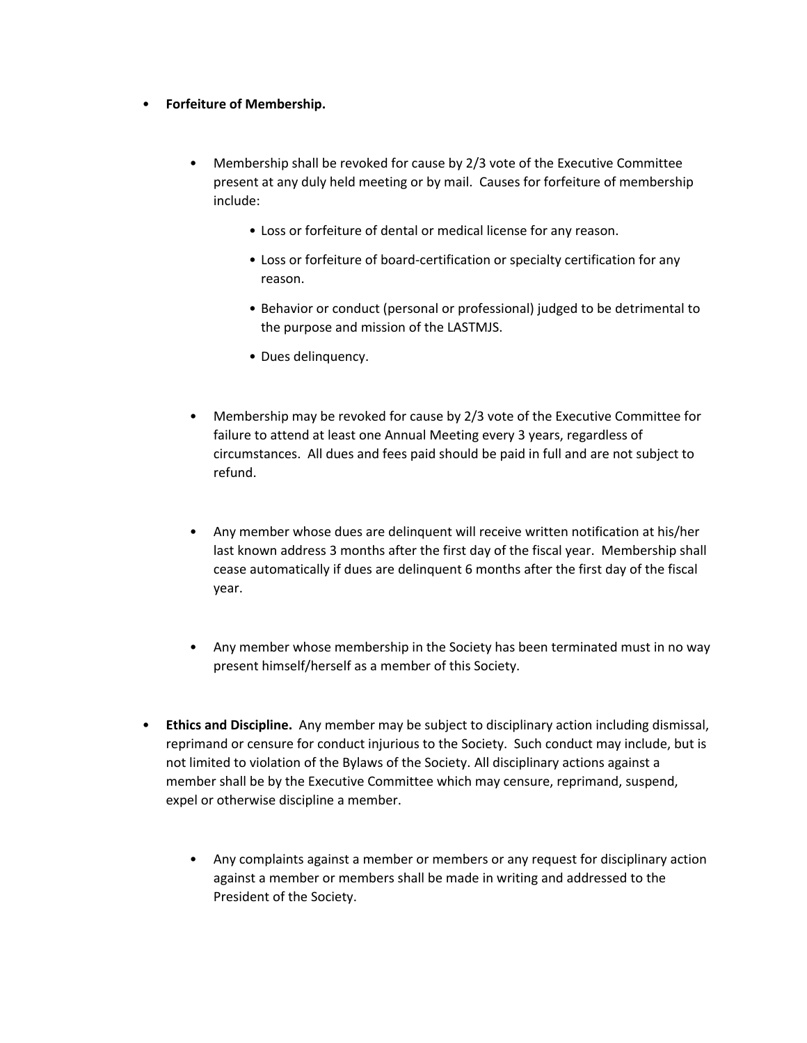- **Forfeiture of Membership.**
	- Membership shall be revoked for cause by 2/3 vote of the Executive Committee present at any duly held meeting or by mail. Causes for forfeiture of membership include:
		- Loss or forfeiture of dental or medical license for any reason.
		- Loss or forfeiture of board-certification or specialty certification for any reason.
		- Behavior or conduct (personal or professional) judged to be detrimental to the purpose and mission of the LASTMJS.
		- Dues delinquency.
	- Membership may be revoked for cause by 2/3 vote of the Executive Committee for failure to attend at least one Annual Meeting every 3 years, regardless of circumstances. All dues and fees paid should be paid in full and are not subject to refund.
	- Any member whose dues are delinquent will receive written notification at his/her last known address 3 months after the first day of the fiscal year. Membership shall cease automatically if dues are delinquent 6 months after the first day of the fiscal year.
	- Any member whose membership in the Society has been terminated must in no way present himself/herself as a member of this Society.
- **Ethics and Discipline.** Any member may be subject to disciplinary action including dismissal, reprimand or censure for conduct injurious to the Society. Such conduct may include, but is not limited to violation of the Bylaws of the Society. All disciplinary actions against a member shall be by the Executive Committee which may censure, reprimand, suspend, expel or otherwise discipline a member.
	- Any complaints against a member or members or any request for disciplinary action against a member or members shall be made in writing and addressed to the President of the Society.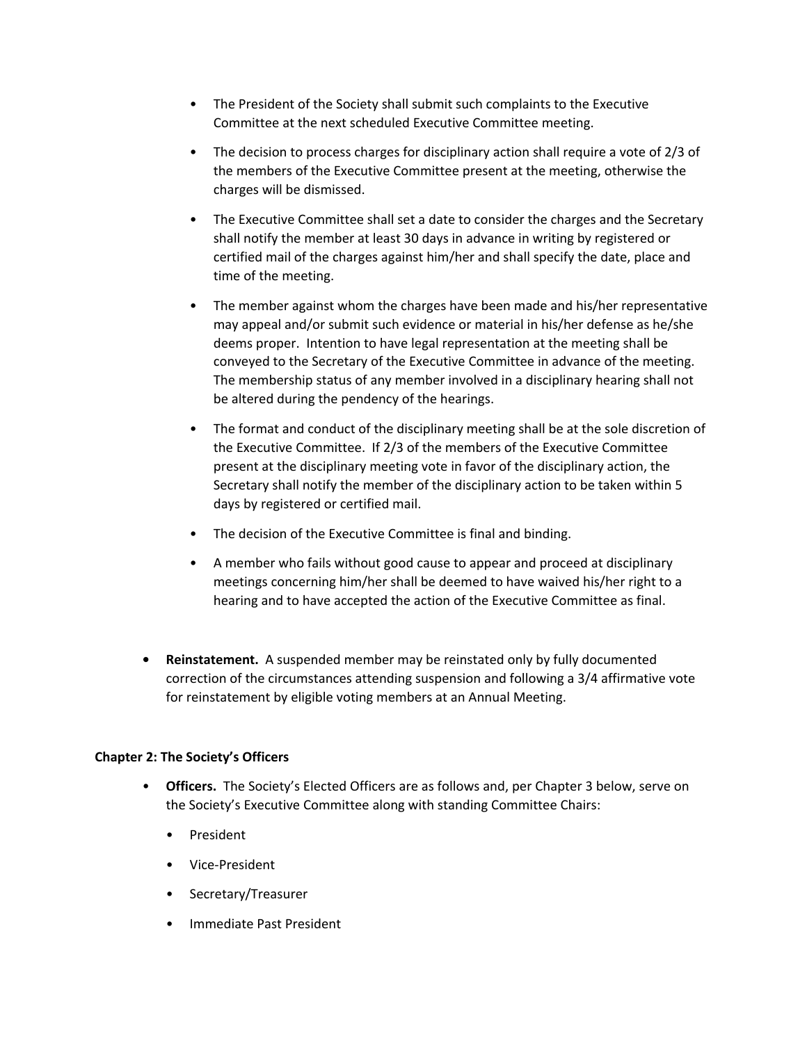- The President of the Society shall submit such complaints to the Executive Committee at the next scheduled Executive Committee meeting.
- The decision to process charges for disciplinary action shall require a vote of 2/3 of the members of the Executive Committee present at the meeting, otherwise the charges will be dismissed.
- The Executive Committee shall set a date to consider the charges and the Secretary shall notify the member at least 30 days in advance in writing by registered or certified mail of the charges against him/her and shall specify the date, place and time of the meeting.
- The member against whom the charges have been made and his/her representative may appeal and/or submit such evidence or material in his/her defense as he/she deems proper. Intention to have legal representation at the meeting shall be conveyed to the Secretary of the Executive Committee in advance of the meeting. The membership status of any member involved in a disciplinary hearing shall not be altered during the pendency of the hearings.
- The format and conduct of the disciplinary meeting shall be at the sole discretion of the Executive Committee. If 2/3 of the members of the Executive Committee present at the disciplinary meeting vote in favor of the disciplinary action, the Secretary shall notify the member of the disciplinary action to be taken within 5 days by registered or certified mail.
- The decision of the Executive Committee is final and binding.
- A member who fails without good cause to appear and proceed at disciplinary meetings concerning him/her shall be deemed to have waived his/her right to a hearing and to have accepted the action of the Executive Committee as final.
- **• Reinstatement.** A suspended member may be reinstated only by fully documented correction of the circumstances attending suspension and following a 3/4 affirmative vote for reinstatement by eligible voting members at an Annual Meeting.

## **Chapter 2: The Society's Officers**

- **Officers.** The Society's Elected Officers are as follows and, per Chapter 3 below, serve on the Society's Executive Committee along with standing Committee Chairs:
	- President
	- Vice-President
	- Secretary/Treasurer
	- Immediate Past President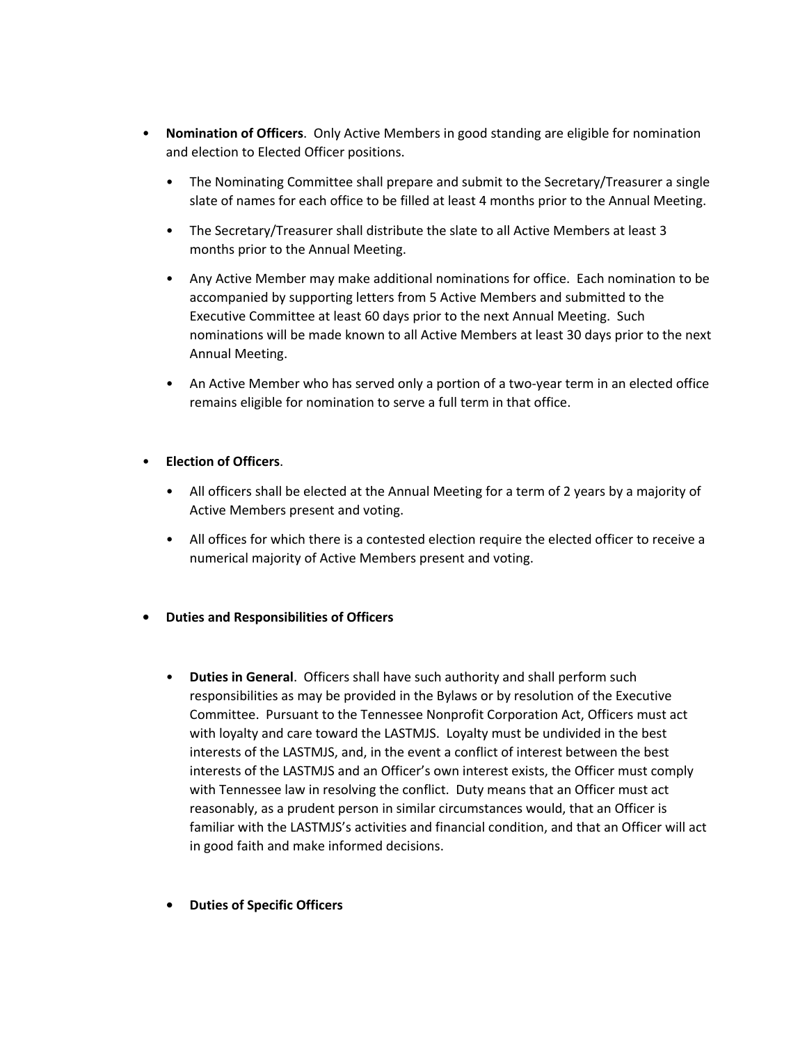- **Nomination of Officers**. Only Active Members in good standing are eligible for nomination and election to Elected Officer positions.
	- The Nominating Committee shall prepare and submit to the Secretary/Treasurer a single slate of names for each office to be filled at least 4 months prior to the Annual Meeting.
	- The Secretary/Treasurer shall distribute the slate to all Active Members at least 3 months prior to the Annual Meeting.
	- Any Active Member may make additional nominations for office. Each nomination to be accompanied by supporting letters from 5 Active Members and submitted to the Executive Committee at least 60 days prior to the next Annual Meeting. Such nominations will be made known to all Active Members at least 30 days prior to the next Annual Meeting.
	- An Active Member who has served only a portion of a two-year term in an elected office remains eligible for nomination to serve a full term in that office.

# • **Election of Officers**.

- All officers shall be elected at the Annual Meeting for a term of 2 years by a majority of Active Members present and voting.
- All offices for which there is a contested election require the elected officer to receive a numerical majority of Active Members present and voting.

# **• Duties and Responsibilities of Officers**

- **Duties in General**. Officers shall have such authority and shall perform such responsibilities as may be provided in the Bylaws or by resolution of the Executive Committee. Pursuant to the Tennessee Nonprofit Corporation Act, Officers must act with loyalty and care toward the LASTMJS. Loyalty must be undivided in the best interests of the LASTMJS, and, in the event a conflict of interest between the best interests of the LASTMJS and an Officer's own interest exists, the Officer must comply with Tennessee law in resolving the conflict. Duty means that an Officer must act reasonably, as a prudent person in similar circumstances would, that an Officer is familiar with the LASTMJS's activities and financial condition, and that an Officer will act in good faith and make informed decisions.
- **• Duties of Specific Officers**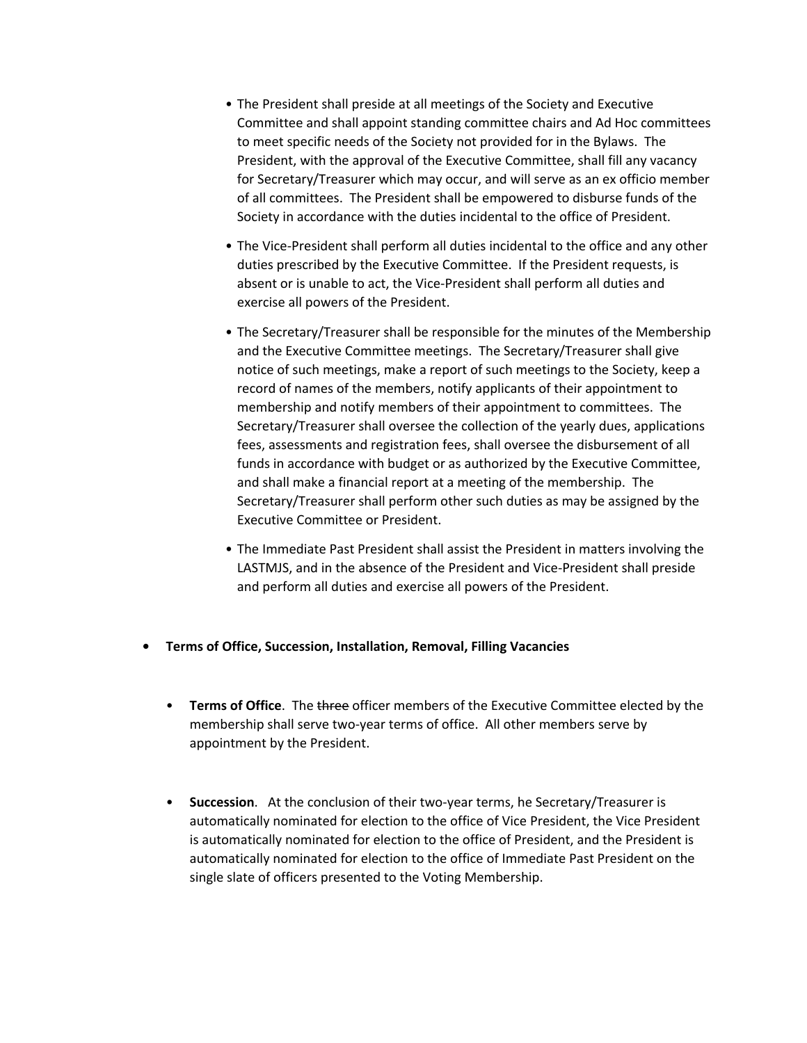- The President shall preside at all meetings of the Society and Executive Committee and shall appoint standing committee chairs and Ad Hoc committees to meet specific needs of the Society not provided for in the Bylaws. The President, with the approval of the Executive Committee, shall fill any vacancy for Secretary/Treasurer which may occur, and will serve as an ex officio member of all committees. The President shall be empowered to disburse funds of the Society in accordance with the duties incidental to the office of President.
- The Vice-President shall perform all duties incidental to the office and any other duties prescribed by the Executive Committee. If the President requests, is absent or is unable to act, the Vice-President shall perform all duties and exercise all powers of the President.
- The Secretary/Treasurer shall be responsible for the minutes of the Membership and the Executive Committee meetings. The Secretary/Treasurer shall give notice of such meetings, make a report of such meetings to the Society, keep a record of names of the members, notify applicants of their appointment to membership and notify members of their appointment to committees. The Secretary/Treasurer shall oversee the collection of the yearly dues, applications fees, assessments and registration fees, shall oversee the disbursement of all funds in accordance with budget or as authorized by the Executive Committee, and shall make a financial report at a meeting of the membership. The Secretary/Treasurer shall perform other such duties as may be assigned by the Executive Committee or President.
- The Immediate Past President shall assist the President in matters involving the LASTMJS, and in the absence of the President and Vice-President shall preside and perform all duties and exercise all powers of the President.
- **• Terms of Office, Succession, Installation, Removal, Filling Vacancies**
	- **Terms of Office**. The three officer members of the Executive Committee elected by the membership shall serve two-year terms of office. All other members serve by appointment by the President.
	- **Succession**. At the conclusion of their two-year terms, he Secretary/Treasurer is automatically nominated for election to the office of Vice President, the Vice President is automatically nominated for election to the office of President, and the President is automatically nominated for election to the office of Immediate Past President on the single slate of officers presented to the Voting Membership.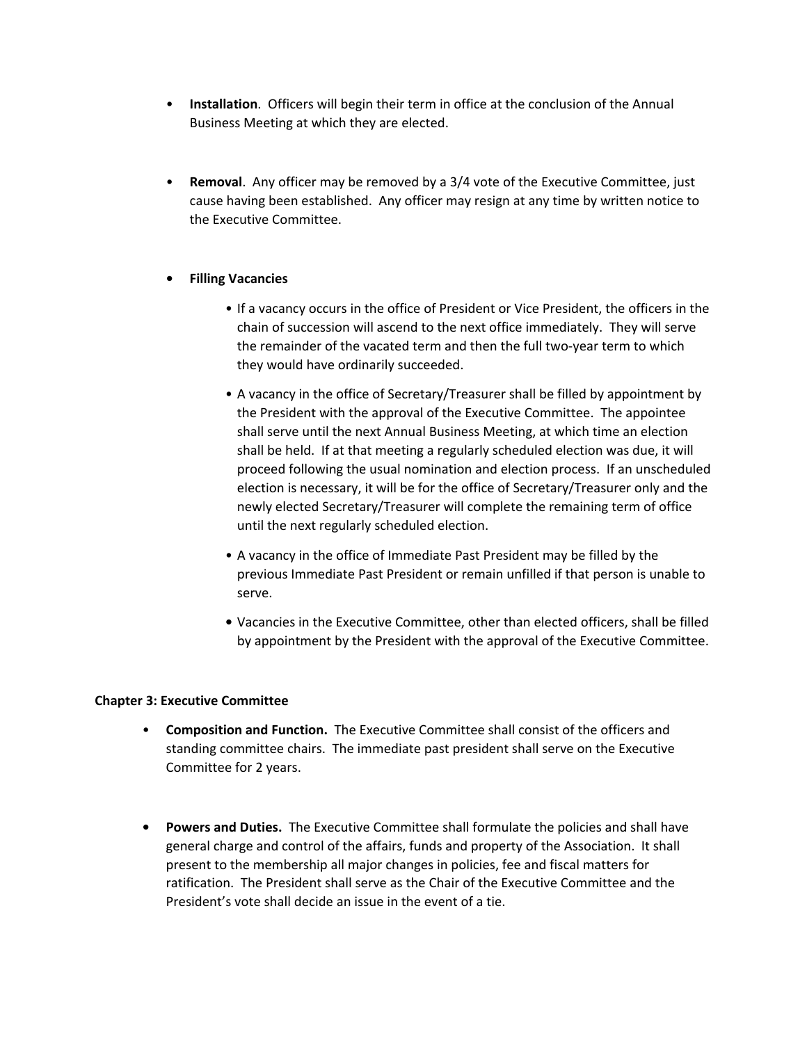- **Installation**. Officers will begin their term in office at the conclusion of the Annual Business Meeting at which they are elected.
- **Removal**. Any officer may be removed by a 3/4 vote of the Executive Committee, just cause having been established. Any officer may resign at any time by written notice to the Executive Committee.

# **• Filling Vacancies**

- If a vacancy occurs in the office of President or Vice President, the officers in the chain of succession will ascend to the next office immediately. They will serve the remainder of the vacated term and then the full two-year term to which they would have ordinarily succeeded.
- A vacancy in the office of Secretary/Treasurer shall be filled by appointment by the President with the approval of the Executive Committee. The appointee shall serve until the next Annual Business Meeting, at which time an election shall be held. If at that meeting a regularly scheduled election was due, it will proceed following the usual nomination and election process. If an unscheduled election is necessary, it will be for the office of Secretary/Treasurer only and the newly elected Secretary/Treasurer will complete the remaining term of office until the next regularly scheduled election.
- A vacancy in the office of Immediate Past President may be filled by the previous Immediate Past President or remain unfilled if that person is unable to serve.
- **•** Vacancies in the Executive Committee, other than elected officers, shall be filled by appointment by the President with the approval of the Executive Committee.

## **Chapter 3: Executive Committee**

- **Composition and Function.** The Executive Committee shall consist of the officers and standing committee chairs. The immediate past president shall serve on the Executive Committee for 2 years.
- **• Powers and Duties.** The Executive Committee shall formulate the policies and shall have general charge and control of the affairs, funds and property of the Association. It shall present to the membership all major changes in policies, fee and fiscal matters for ratification. The President shall serve as the Chair of the Executive Committee and the President's vote shall decide an issue in the event of a tie.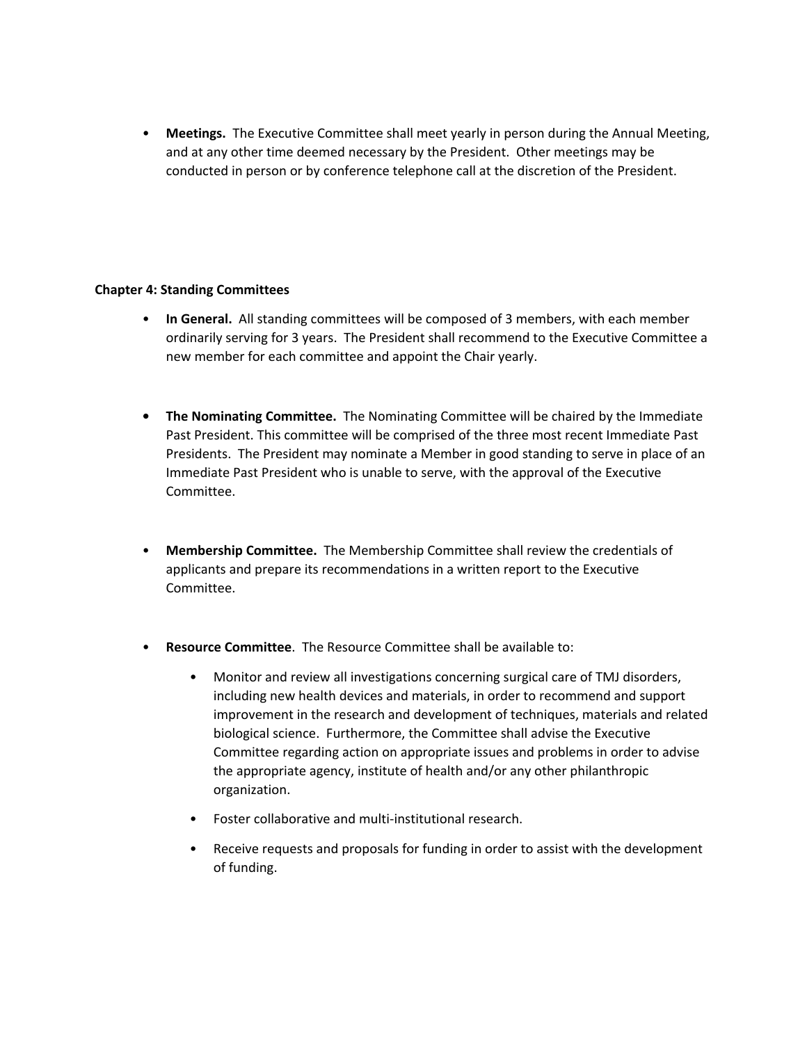• **Meetings.** The Executive Committee shall meet yearly in person during the Annual Meeting, and at any other time deemed necessary by the President. Other meetings may be conducted in person or by conference telephone call at the discretion of the President.

## **Chapter 4: Standing Committees**

- **In General.** All standing committees will be composed of 3 members, with each member ordinarily serving for 3 years. The President shall recommend to the Executive Committee a new member for each committee and appoint the Chair yearly.
- **• The Nominating Committee.** The Nominating Committee will be chaired by the Immediate Past President. This committee will be comprised of the three most recent Immediate Past Presidents. The President may nominate a Member in good standing to serve in place of an Immediate Past President who is unable to serve, with the approval of the Executive Committee.
- **Membership Committee.** The Membership Committee shall review the credentials of applicants and prepare its recommendations in a written report to the Executive Committee.
- **Resource Committee**. The Resource Committee shall be available to:
	- Monitor and review all investigations concerning surgical care of TMJ disorders, including new health devices and materials, in order to recommend and support improvement in the research and development of techniques, materials and related biological science. Furthermore, the Committee shall advise the Executive Committee regarding action on appropriate issues and problems in order to advise the appropriate agency, institute of health and/or any other philanthropic organization.
	- Foster collaborative and multi-institutional research.
	- Receive requests and proposals for funding in order to assist with the development of funding.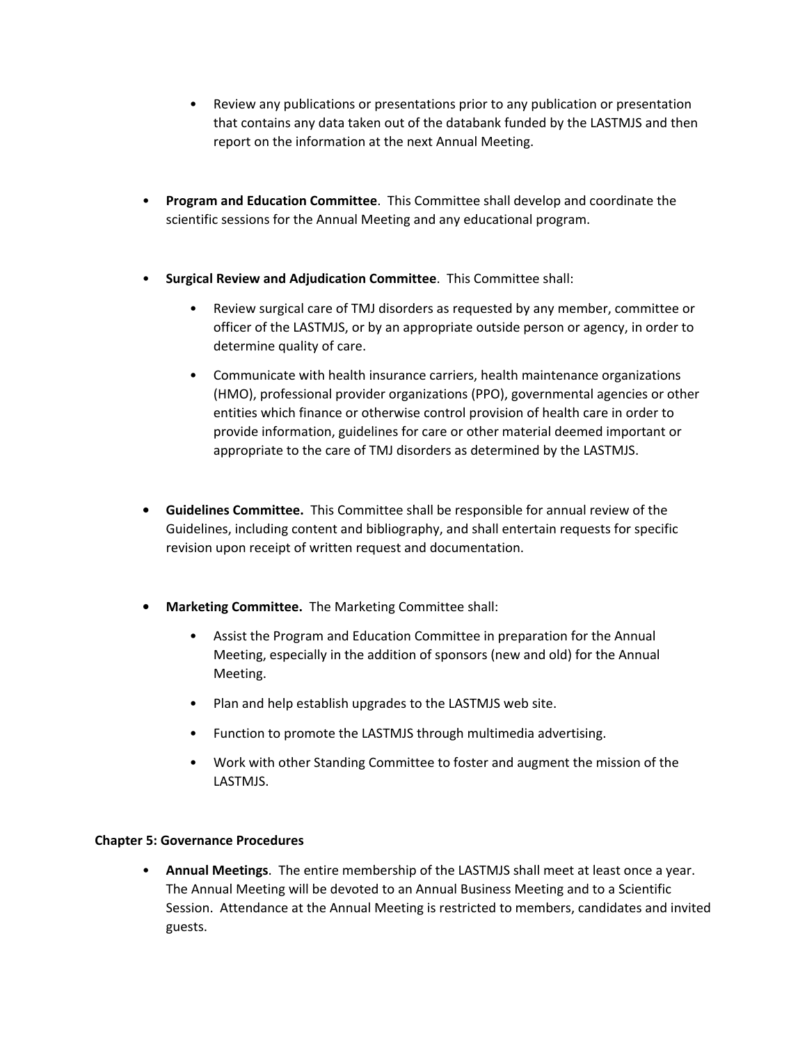- Review any publications or presentations prior to any publication or presentation that contains any data taken out of the databank funded by the LASTMJS and then report on the information at the next Annual Meeting.
- **Program and Education Committee**. This Committee shall develop and coordinate the scientific sessions for the Annual Meeting and any educational program.
- **Surgical Review and Adjudication Committee**. This Committee shall:
	- Review surgical care of TMJ disorders as requested by any member, committee or officer of the LASTMJS, or by an appropriate outside person or agency, in order to determine quality of care.
	- Communicate with health insurance carriers, health maintenance organizations (HMO), professional provider organizations (PPO), governmental agencies or other entities which finance or otherwise control provision of health care in order to provide information, guidelines for care or other material deemed important or appropriate to the care of TMJ disorders as determined by the LASTMJS.
- **• Guidelines Committee.** This Committee shall be responsible for annual review of the Guidelines, including content and bibliography, and shall entertain requests for specific revision upon receipt of written request and documentation.
- **• Marketing Committee.** The Marketing Committee shall:
	- Assist the Program and Education Committee in preparation for the Annual Meeting, especially in the addition of sponsors (new and old) for the Annual Meeting.
	- Plan and help establish upgrades to the LASTMJS web site.
	- Function to promote the LASTMJS through multimedia advertising.
	- Work with other Standing Committee to foster and augment the mission of the LASTMJS.

## **Chapter 5: Governance Procedures**

• **Annual Meetings**. The entire membership of the LASTMJS shall meet at least once a year. The Annual Meeting will be devoted to an Annual Business Meeting and to a Scientific Session. Attendance at the Annual Meeting is restricted to members, candidates and invited guests.